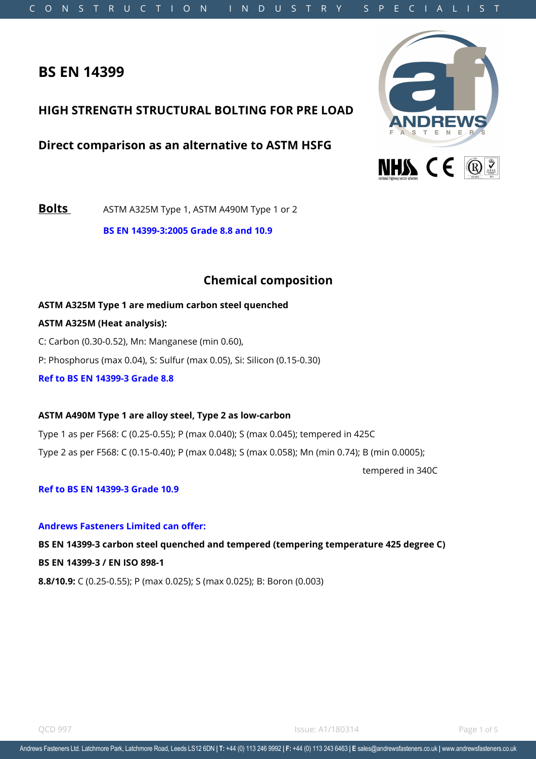# **BS EN 14399**

## **HIGH STRENGTH STRUCTURAL BOLTING FOR PRE LOAD**

**Direct comparison as an alternative to ASTM HSFG** 



**Bolts** ASTM A325M Type 1, ASTM A490M Type 1 or 2

**BS EN 14399-3:2005 Grade 8.8 and 10.9** 

# **Chemical composition**

**ASTM A325M Type 1 are medium carbon steel quenched ASTM A325M (Heat analysis):** C: Carbon (0.30-0.52), Mn: Manganese (min 0.60), P: Phosphorus (max 0.04), S: Sulfur (max 0.05), Si: Silicon (0.15-0.30) **Ref to BS EN 14399-3 Grade 8.8** 

### **ASTM A490M Type 1 are alloy steel, Type 2 as low-carbon**

Type 1 as per F568: C (0.25-0.55); P (max 0.040); S (max 0.045); tempered in 425C Type 2 as per F568: C (0.15-0.40); P (max 0.048); S (max 0.058); Mn (min 0.74); B (min 0.0005); tempered in 340C

### **Ref to BS EN 14399-3 Grade 10.9**

### **Andrews Fasteners Limited can offer:**

**BS EN 14399-3 carbon steel quenched and tempered (tempering temperature 425 degree C) BS EN 14399-3 / EN ISO 898-1 8.8/10.9:** C (0.25-0.55); P (max 0.025); S (max 0.025); B: Boron (0.003)

**OCD 997** Page 1 of 5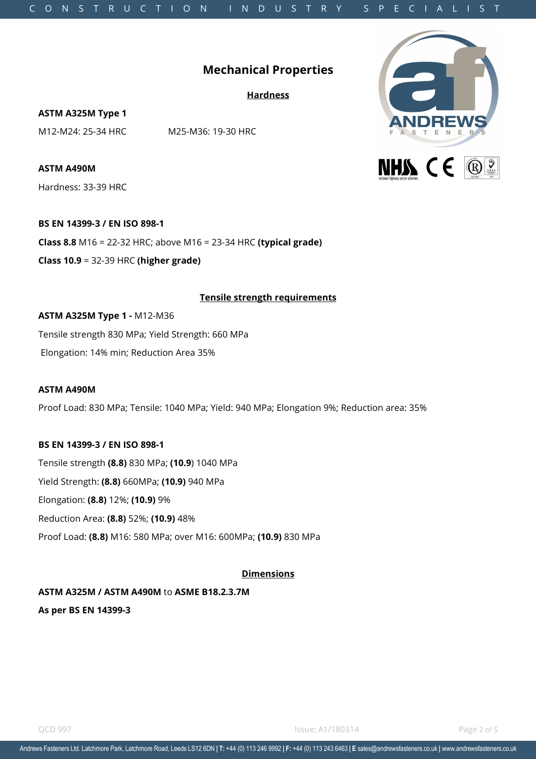# C O N S T R U C T I O N I N D U S T R Y S P E C I A L I S T

# **Mechanical Properties**

**Hardness**

**ASTM A325M Type 1**

M12-M24: 25-34 HRC M25-M36: 19-30 HRC

**ASTM A490M**  Hardness: 33-39 HRC

**BS EN 14399-3 / EN ISO 898-1 Class 8.8** M16 = 22-32 HRC; above M16 = 23-34 HRC **(typical grade)** 

**Class 10.9** = 32-39 HRC **(higher grade)** 

### **Tensile strength requirements**

**ASTM A325M Type 1 -** M12-M36

Tensile strength 830 MPa; Yield Strength: 660 MPa Elongation: 14% min; Reduction Area 35%

### **ASTM A490M**

Proof Load: 830 MPa; Tensile: 1040 MPa; Yield: 940 MPa; Elongation 9%; Reduction area: 35%

### **BS EN 14399-3 / EN ISO 898-1**

Tensile strength **(8.8)** 830 MPa; **(10.9**) 1040 MPa

Yield Strength: **(8.8)** 660MPa; **(10.9)** 940 MPa

Elongation: **(8.8)** 12%; **(10.9)** 9%

Reduction Area: **(8.8)** 52%; **(10.9)** 48%

Proof Load: **(8.8)** M16: 580 MPa; over M16: 600MPa; **(10.9)** 830 MPa

### **Dimensions**

**ASTM A325M / ASTM A490M** to **ASME B18.2.3.7M As per BS EN 14399-3**

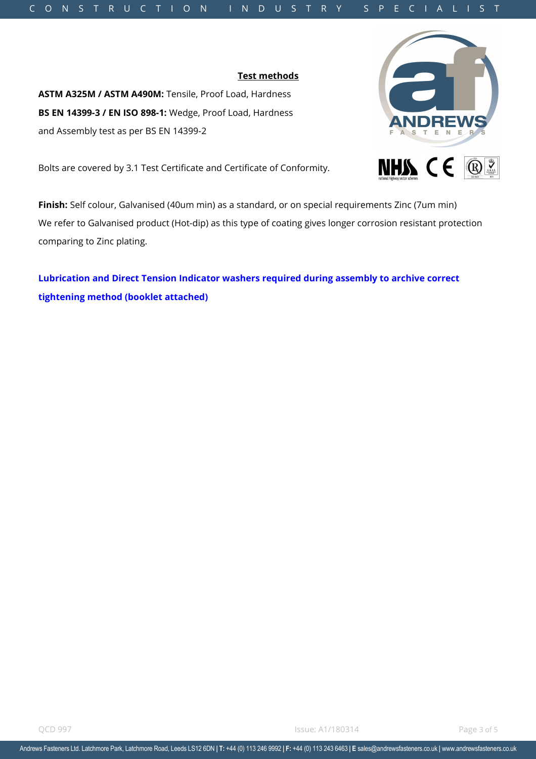Andrews Fasteners Ltd. Latchmore Park, Latchmore Road, Leeds LS12 6DN | T: +44 (0) 113 246 9992 | F: +44 (0) 113 243 6463 | E sales@andrewsfasteners.co.uk | www.andrewsfasteners.co.uk

### C O N S T R U C T I O N I N D U S T R Y S P E C I A L I S T

**Test methods**

**ASTM A325M / ASTM A490M:** Tensile, Proof Load, Hardness **BS EN 14399-3 / EN ISO 898-1:** Wedge, Proof Load, Hardness and Assembly test as per BS EN 14399-2

Bolts are covered by 3.1 Test Certificate and Certificate of Conformity.

**Finish:** Self colour, Galvanised (40um min) as a standard, or on special requirements Zinc (7um min) We refer to Galvanised product (Hot-dip) as this type of coating gives longer corrosion resistant protection comparing to Zinc plating.

**Lubrication and Direct Tension Indicator washers required during assembly to archive correct tightening method (booklet attached)**

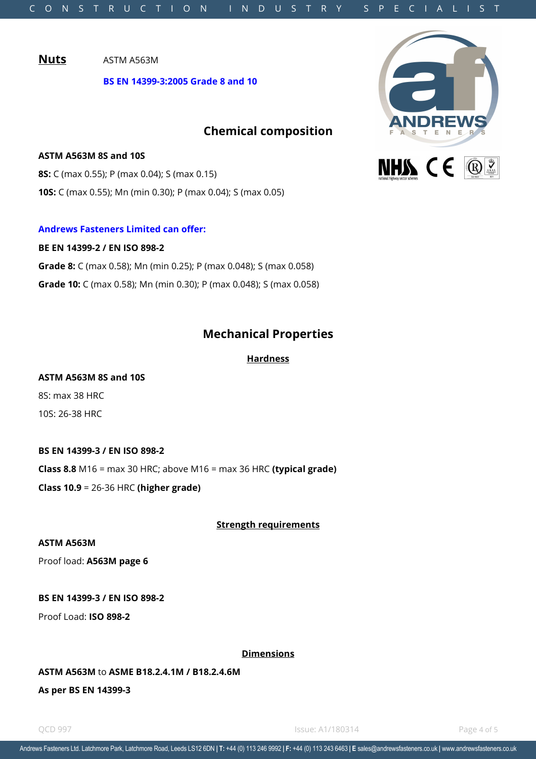**Nuts** ASTM A563M

**BS EN 14399-3:2005 Grade 8 and 10** 

# **Chemical composition**

**ASTM A563M 8S and 10S 8S:** C (max 0.55); P (max 0.04); S (max 0.15) **10S:** C (max 0.55); Mn (min 0.30); P (max 0.04); S (max 0.05)

### **Andrews Fasteners Limited can offer:**

**BE EN 14399-2 / EN ISO 898-2 Grade 8:** C (max 0.58); Mn (min 0.25); P (max 0.048); S (max 0.058) **Grade 10:** C (max 0.58); Mn (min 0.30); P (max 0.048); S (max 0.058)

# **Mechanical Properties**

**Hardness**

### **ASTM A563M 8S and 10S**

8S: max 38 HRC 10S: 26-38 HRC

### **BS EN 14399-3 / EN ISO 898-2**

**Class 8.8** M16 = max 30 HRC; above M16 = max 36 HRC **(typical grade)** 

**Class 10.9** = 26-36 HRC **(higher grade)** 

### **Strength requirements**

### **ASTM A563M**

Proof load: **A563M page 6**

### **BS EN 14399-3 / EN ISO 898-2**

Proof Load: **ISO 898-2**

### **Dimensions**

### **ASTM A563M** to **ASME B18.2.4.1M / B18.2.4.6M**

**As per BS EN 14399-3**